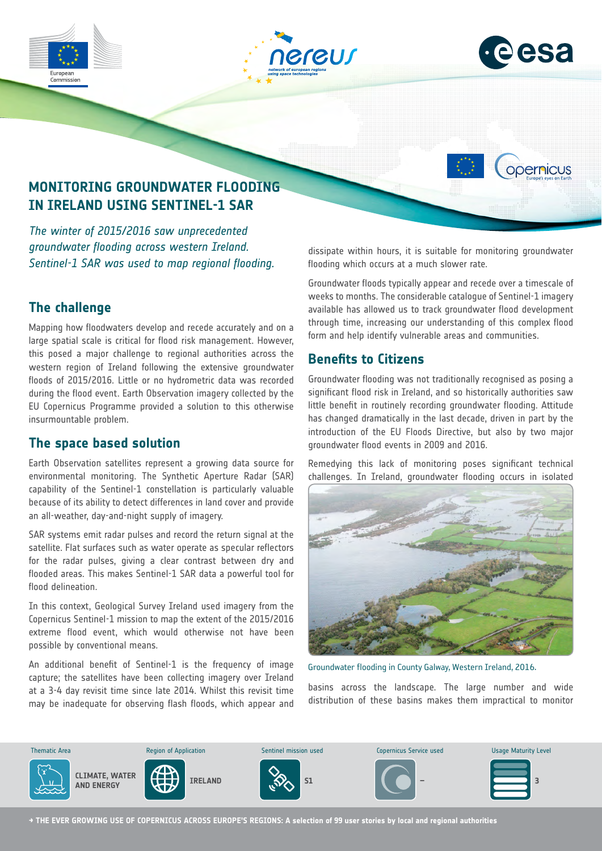





opernicus

# **MONITORING GROUNDWATER FLOODING IN IRELAND USING SENTINEL-1 SAR**

*The winter of 2015/2016 saw unprecedented groundwater flooding across western Ireland. Sentinel-1 SAR was used to map regional flooding.*

#### **The challenge**

Mapping how floodwaters develop and recede accurately and on a large spatial scale is critical for flood risk management. However, this posed a major challenge to regional authorities across the western region of Ireland following the extensive groundwater floods of 2015/2016. Little or no hydrometric data was recorded during the flood event. Earth Observation imagery collected by the EU Copernicus Programme provided a solution to this otherwise insurmountable problem.

#### **The space based solution**

Earth Observation satellites represent a growing data source for environmental monitoring. The Synthetic Aperture Radar (SAR) capability of the Sentinel-1 constellation is particularly valuable because of its ability to detect differences in land cover and provide an all-weather, day-and-night supply of imagery.

SAR systems emit radar pulses and record the return signal at the satellite. Flat surfaces such as water operate as specular reflectors for the radar pulses, giving a clear contrast between dry and flooded areas. This makes Sentinel-1 SAR data a powerful tool for flood delineation.

In this context, Geological Survey Ireland used imagery from the Copernicus Sentinel-1 mission to map the extent of the 2015/2016 extreme flood event, which would otherwise not have been possible by conventional means.

An additional benefit of Sentinel-1 is the frequency of image capture; the satellites have been collecting imagery over Ireland at a 3-4 day revisit time since late 2014. Whilst this revisit time may be inadequate for observing flash floods, which appear and dissipate within hours, it is suitable for monitoring groundwater flooding which occurs at a much slower rate.

Groundwater floods typically appear and recede over a timescale of weeks to months. The considerable catalogue of Sentinel-1 imagery available has allowed us to track groundwater flood development through time, increasing our understanding of this complex flood form and help identify vulnerable areas and communities.

#### **Benefits to Citizens**

Groundwater flooding was not traditionally recognised as posing a significant flood risk in Ireland, and so historically authorities saw little benefit in routinely recording groundwater flooding. Attitude has changed dramatically in the last decade, driven in part by the introduction of the EU Floods Directive, but also by two major groundwater flood events in 2009 and 2016.

Remedying this lack of monitoring poses significant technical challenges. In Ireland, groundwater flooding occurs in isolated



Groundwater flooding in County Galway, Western Ireland, 2016.

basins across the landscape. The large number and wide distribution of these basins makes them impractical to monitor



**→ THE EVER GROWING USE OF COPERNICUS ACROSS EUROPE'S REGIONS: A selection of 99 user stories by local and regional authorities**